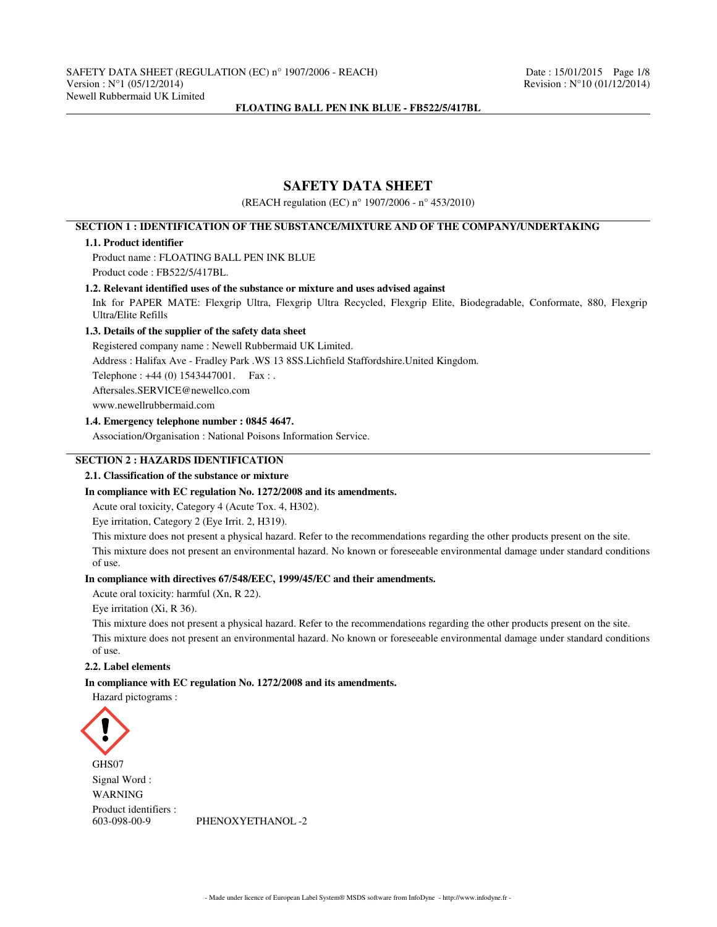# **SAFETY DATA SHEET**

(REACH regulation (EC) n° 1907/2006 - n° 453/2010)

# **SECTION 1 : IDENTIFICATION OF THE SUBSTANCE/MIXTURE AND OF THE COMPANY/UNDERTAKING**

# **1.1. Product identifier**

Product name : FLOATING BALL PEN INK BLUE Product code : FB522/5/417BL.

### **1.2. Relevant identified uses of the substance or mixture and uses advised against**

Ink for PAPER MATE: Flexgrip Ultra, Flexgrip Ultra Recycled, Flexgrip Elite, Biodegradable, Conformate, 880, Flexgrip Ultra/Elite Refills

# **1.3. Details of the supplier of the safety data sheet**

Registered company name : Newell Rubbermaid UK Limited.

Address : Halifax Ave - Fradley Park .WS 13 8SS.Lichfield Staffordshire.United Kingdom.

Telephone : +44 (0) 1543447001. Fax : .

Aftersales.SERVICE@newellco.com

www.newellrubbermaid.com

# **1.4. Emergency telephone number : 0845 4647.**

Association/Organisation : National Poisons Information Service.

# **SECTION 2 : HAZARDS IDENTIFICATION**

# **2.1. Classification of the substance or mixture**

### **In compliance with EC regulation No. 1272/2008 and its amendments.**

Acute oral toxicity, Category 4 (Acute Tox. 4, H302).

Eye irritation, Category 2 (Eye Irrit. 2, H319).

This mixture does not present a physical hazard. Refer to the recommendations regarding the other products present on the site. This mixture does not present an environmental hazard. No known or foreseeable environmental damage under standard conditions of use.

### **In compliance with directives 67/548/EEC, 1999/45/EC and their amendments.**

Acute oral toxicity: harmful (Xn, R 22).

Eye irritation (Xi, R 36).

This mixture does not present a physical hazard. Refer to the recommendations regarding the other products present on the site. This mixture does not present an environmental hazard. No known or foreseeable environmental damage under standard conditions of use.

#### **2.2. Label elements**

### **In compliance with EC regulation No. 1272/2008 and its amendments.**

Hazard pictograms :



GHS07 Signal Word : WARNING Product identifiers :

603-098-00-9 PHENOXYETHANOL -2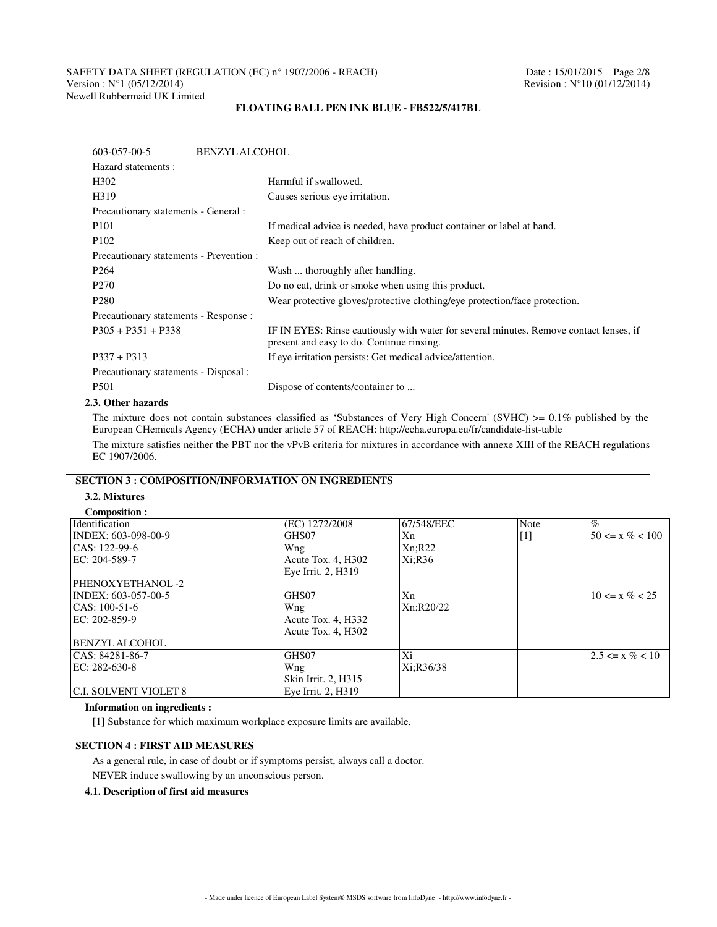| 603-057-00-5                            | <b>BENZYL ALCOHOL</b>                                                                                                               |  |  |  |
|-----------------------------------------|-------------------------------------------------------------------------------------------------------------------------------------|--|--|--|
| Hazard statements :                     |                                                                                                                                     |  |  |  |
| H <sub>3</sub> 02                       | Harmful if swallowed.                                                                                                               |  |  |  |
| H319                                    | Causes serious eye irritation.                                                                                                      |  |  |  |
| Precautionary statements - General :    |                                                                                                                                     |  |  |  |
| P <sub>101</sub>                        | If medical advice is needed, have product container or label at hand.                                                               |  |  |  |
| P <sub>102</sub>                        | Keep out of reach of children.                                                                                                      |  |  |  |
| Precautionary statements - Prevention : |                                                                                                                                     |  |  |  |
| P <sub>264</sub>                        | Wash  thoroughly after handling.                                                                                                    |  |  |  |
| P <sub>270</sub>                        | Do no eat, drink or smoke when using this product.                                                                                  |  |  |  |
| P <sub>280</sub>                        | Wear protective gloves/protective clothing/eye protection/face protection.                                                          |  |  |  |
| Precautionary statements - Response :   |                                                                                                                                     |  |  |  |
| $P305 + P351 + P338$                    | IF IN EYES: Rinse cautiously with water for several minutes. Remove contact lenses, if<br>present and easy to do. Continue rinsing. |  |  |  |
| $P337 + P313$                           | If eye irritation persists: Get medical advice/attention.                                                                           |  |  |  |
| Precautionary statements - Disposal :   |                                                                                                                                     |  |  |  |
| P <sub>501</sub>                        | Dispose of contents/container to                                                                                                    |  |  |  |

# **2.3. Other hazards**

The mixture does not contain substances classified as 'Substances of Very High Concern' (SVHC)  $>= 0.1\%$  published by the European CHemicals Agency (ECHA) under article 57 of REACH: http://echa.europa.eu/fr/candidate-list-table The mixture satisfies neither the PBT nor the vPvB criteria for mixtures in accordance with annexe XIII of the REACH regulations EC 1907/2006.

# **SECTION 3 : COMPOSITION/INFORMATION ON INGREDIENTS**

## **3.2. Mixtures**

| Composition:                 |                     |            |       |                      |
|------------------------------|---------------------|------------|-------|----------------------|
| <b>Identification</b>        | (EC) 1272/2008      | 67/548/EEC | Note  | $\%$                 |
| INDEX: 603-098-00-9          | GHS07               | Xn         | $[1]$ | $50 \le x \% < 100$  |
| CAS: 122-99-6                | Wng                 | Xn; R22    |       |                      |
| EC: 204-589-7                | Acute Tox. 4, H302  | Xi;R36     |       |                      |
|                              | Eye Irrit. 2, H319  |            |       |                      |
| PHENOXYETHANOL-2             |                     |            |       |                      |
| INDEX: 603-057-00-5          | GHS07               | Xn         |       | $10 \le x \% < 25$   |
| $CAS: 100-51-6$              | Wng                 | Xn;R20/22  |       |                      |
| EC: 202-859-9                | Acute Tox. 4, H332  |            |       |                      |
|                              | Acute Tox. 4, H302  |            |       |                      |
| <b>BENZYL ALCOHOL</b>        |                     |            |       |                      |
| CAS: 84281-86-7              | GHS07               | Xi         |       | $12.5 \le x \% < 10$ |
| EC: 282-630-8                | Wng                 | Xi:R36/38  |       |                      |
|                              | Skin Irrit. 2, H315 |            |       |                      |
| <b>C.I. SOLVENT VIOLET 8</b> | Eye Irrit. 2, H319  |            |       |                      |

### **Information on ingredients :**

[1] Substance for which maximum workplace exposure limits are available.

# **SECTION 4 : FIRST AID MEASURES**

As a general rule, in case of doubt or if symptoms persist, always call a doctor.

NEVER induce swallowing by an unconscious person.

# **4.1. Description of first aid measures**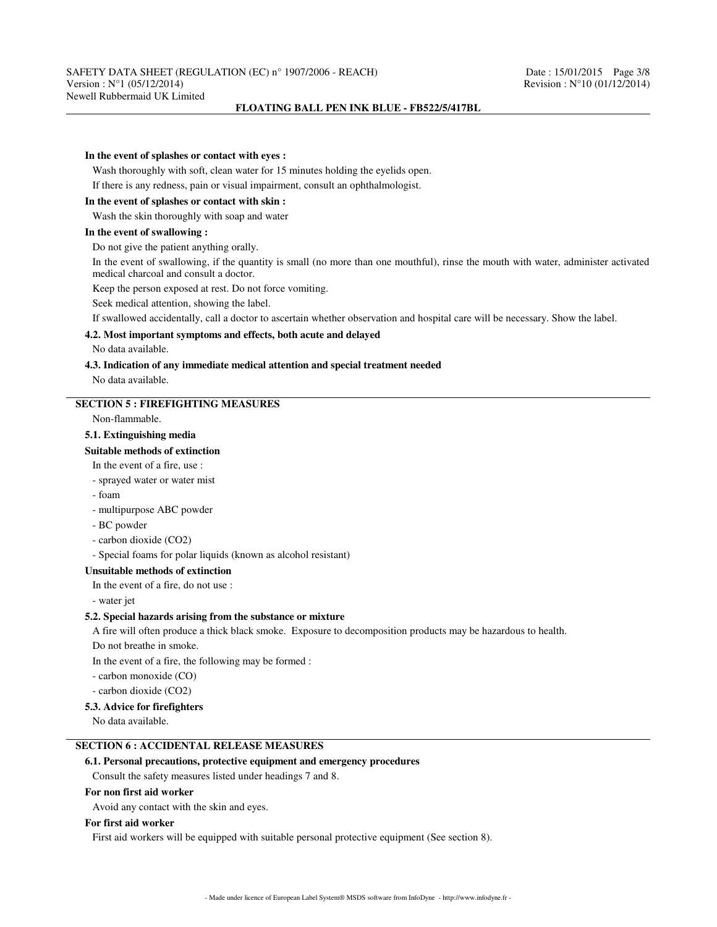#### **In the event of splashes or contact with eyes :**

Wash thoroughly with soft, clean water for 15 minutes holding the eyelids open.

If there is any redness, pain or visual impairment, consult an ophthalmologist.

### **In the event of splashes or contact with skin :**

Wash the skin thoroughly with soap and water

## **In the event of swallowing :**

Do not give the patient anything orally.

In the event of swallowing, if the quantity is small (no more than one mouthful), rinse the mouth with water, administer activated medical charcoal and consult a doctor.

Keep the person exposed at rest. Do not force vomiting.

Seek medical attention, showing the label.

If swallowed accidentally, call a doctor to ascertain whether observation and hospital care will be necessary. Show the label.

# **4.2. Most important symptoms and effects, both acute and delayed**

No data available.

# **4.3. Indication of any immediate medical attention and special treatment needed**

No data available.

## **SECTION 5 : FIREFIGHTING MEASURES**

Non-flammable.

#### **5.1. Extinguishing media**

#### **Suitable methods of extinction**

In the event of a fire, use :

- sprayed water or water mist

- foam

- multipurpose ABC powder
- BC powder

- carbon dioxide (CO2)

- Special foams for polar liquids (known as alcohol resistant)

#### **Unsuitable methods of extinction**

In the event of a fire, do not use :

- water jet

### **5.2. Special hazards arising from the substance or mixture**

A fire will often produce a thick black smoke. Exposure to decomposition products may be hazardous to health.

Do not breathe in smoke.

In the event of a fire, the following may be formed :

- carbon monoxide (CO)

- carbon dioxide (CO2)

#### **5.3. Advice for firefighters**

No data available.

# **SECTION 6 : ACCIDENTAL RELEASE MEASURES**

# **6.1. Personal precautions, protective equipment and emergency procedures**

Consult the safety measures listed under headings 7 and 8.

### **For non first aid worker**

Avoid any contact with the skin and eyes.

### **For first aid worker**

First aid workers will be equipped with suitable personal protective equipment (See section 8).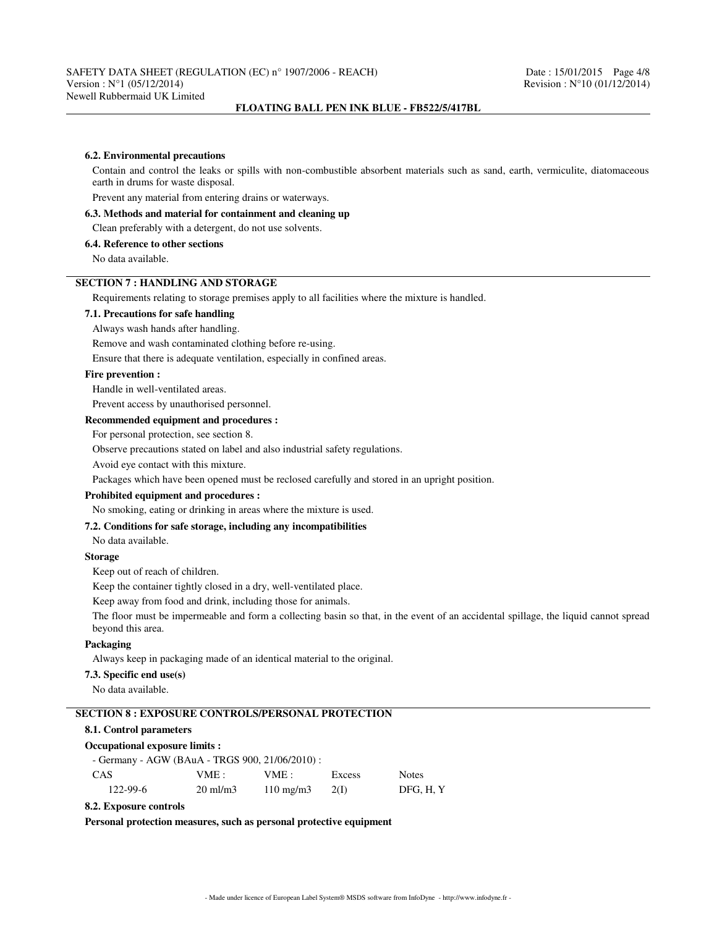#### **6.2. Environmental precautions**

Contain and control the leaks or spills with non-combustible absorbent materials such as sand, earth, vermiculite, diatomaceous earth in drums for waste disposal.

Prevent any material from entering drains or waterways.

# **6.3. Methods and material for containment and cleaning up**

#### Clean preferably with a detergent, do not use solvents.

### **6.4. Reference to other sections**

No data available.

# **SECTION 7 : HANDLING AND STORAGE**

Requirements relating to storage premises apply to all facilities where the mixture is handled.

#### **7.1. Precautions for safe handling**

Always wash hands after handling.

Remove and wash contaminated clothing before re-using.

Ensure that there is adequate ventilation, especially in confined areas.

# **Fire prevention :**

Handle in well-ventilated areas.

Prevent access by unauthorised personnel.

### **Recommended equipment and procedures :**

For personal protection, see section 8.

Observe precautions stated on label and also industrial safety regulations.

Avoid eye contact with this mixture.

Packages which have been opened must be reclosed carefully and stored in an upright position.

# **Prohibited equipment and procedures :**

No smoking, eating or drinking in areas where the mixture is used.

## **7.2. Conditions for safe storage, including any incompatibilities**

No data available.

#### **Storage**

Keep out of reach of children.

Keep the container tightly closed in a dry, well-ventilated place.

Keep away from food and drink, including those for animals.

The floor must be impermeable and form a collecting basin so that, in the event of an accidental spillage, the liquid cannot spread beyond this area.

# **Packaging**

Always keep in packaging made of an identical material to the original.

### **7.3. Specific end use(s)**

No data available.

# **SECTION 8 : EXPOSURE CONTROLS/PERSONAL PROTECTION**

## **8.1. Control parameters**

#### **Occupational exposure limits :**

| - Germany - AGW (BAuA - TRGS 900, 21/06/2010) : |                     |                    |                 |              |
|-------------------------------------------------|---------------------|--------------------|-----------------|--------------|
| CAS.                                            | VME : -             | VME:               | Excess          | <b>Notes</b> |
| 122-99-6                                        | $20 \text{ ml/m}$ 3 | $110 \text{ mg/m}$ | 20 <sup>D</sup> | DFG. H. Y    |

### **8.2. Exposure controls**

**Personal protection measures, such as personal protective equipment**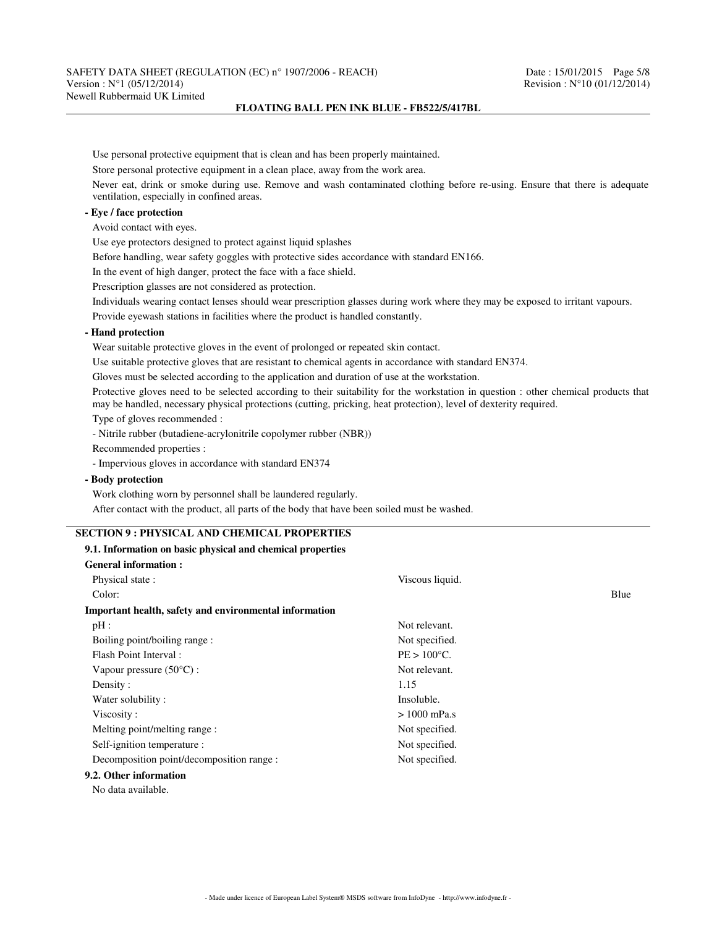| Use personal protective equipment that is clean and has been properly maintained.                                                                                        |                                                                                                                                     |  |  |  |  |
|--------------------------------------------------------------------------------------------------------------------------------------------------------------------------|-------------------------------------------------------------------------------------------------------------------------------------|--|--|--|--|
|                                                                                                                                                                          |                                                                                                                                     |  |  |  |  |
| Store personal protective equipment in a clean place, away from the work area.                                                                                           |                                                                                                                                     |  |  |  |  |
| Never eat, drink or smoke during use. Remove and wash contaminated clothing before re-using. Ensure that there is adequate<br>ventilation, especially in confined areas. |                                                                                                                                     |  |  |  |  |
| - Eye / face protection                                                                                                                                                  |                                                                                                                                     |  |  |  |  |
| Avoid contact with eyes.                                                                                                                                                 |                                                                                                                                     |  |  |  |  |
| Use eye protectors designed to protect against liquid splashes                                                                                                           |                                                                                                                                     |  |  |  |  |
| Before handling, wear safety goggles with protective sides accordance with standard EN166.                                                                               |                                                                                                                                     |  |  |  |  |
| In the event of high danger, protect the face with a face shield.                                                                                                        |                                                                                                                                     |  |  |  |  |
| Prescription glasses are not considered as protection.                                                                                                                   |                                                                                                                                     |  |  |  |  |
|                                                                                                                                                                          | Individuals wearing contact lenses should wear prescription glasses during work where they may be exposed to irritant vapours.      |  |  |  |  |
| Provide eyewash stations in facilities where the product is handled constantly.                                                                                          |                                                                                                                                     |  |  |  |  |
| - Hand protection                                                                                                                                                        |                                                                                                                                     |  |  |  |  |
| Wear suitable protective gloves in the event of prolonged or repeated skin contact.                                                                                      |                                                                                                                                     |  |  |  |  |
| Use suitable protective gloves that are resistant to chemical agents in accordance with standard EN374.                                                                  |                                                                                                                                     |  |  |  |  |
| Gloves must be selected according to the application and duration of use at the workstation.                                                                             |                                                                                                                                     |  |  |  |  |
| may be handled, necessary physical protections (cutting, pricking, heat protection), level of dexterity required.                                                        | Protective gloves need to be selected according to their suitability for the workstation in question : other chemical products that |  |  |  |  |
| Type of gloves recommended :                                                                                                                                             |                                                                                                                                     |  |  |  |  |
| - Nitrile rubber (butadiene-acrylonitrile copolymer rubber (NBR))                                                                                                        |                                                                                                                                     |  |  |  |  |
| Recommended properties :                                                                                                                                                 |                                                                                                                                     |  |  |  |  |
|                                                                                                                                                                          |                                                                                                                                     |  |  |  |  |
| - Impervious gloves in accordance with standard EN374                                                                                                                    |                                                                                                                                     |  |  |  |  |
| - Body protection                                                                                                                                                        |                                                                                                                                     |  |  |  |  |
| Work clothing worn by personnel shall be laundered regularly.                                                                                                            |                                                                                                                                     |  |  |  |  |
| After contact with the product, all parts of the body that have been soiled must be washed.                                                                              |                                                                                                                                     |  |  |  |  |
|                                                                                                                                                                          |                                                                                                                                     |  |  |  |  |
| <b>SECTION 9 : PHYSICAL AND CHEMICAL PROPERTIES</b>                                                                                                                      |                                                                                                                                     |  |  |  |  |
| 9.1. Information on basic physical and chemical properties                                                                                                               |                                                                                                                                     |  |  |  |  |
| <b>General information:</b>                                                                                                                                              |                                                                                                                                     |  |  |  |  |
| Physical state:                                                                                                                                                          | Viscous liquid.                                                                                                                     |  |  |  |  |
| Color:                                                                                                                                                                   | Blue                                                                                                                                |  |  |  |  |
| Important health, safety and environmental information                                                                                                                   |                                                                                                                                     |  |  |  |  |
| $pH$ :                                                                                                                                                                   | Not relevant.                                                                                                                       |  |  |  |  |
| Boiling point/boiling range:                                                                                                                                             | Not specified.                                                                                                                      |  |  |  |  |
| Flash Point Interval:                                                                                                                                                    | $PE > 100^{\circ}C$ .                                                                                                               |  |  |  |  |
| Vapour pressure (50°C) :                                                                                                                                                 | Not relevant.                                                                                                                       |  |  |  |  |
| Density:                                                                                                                                                                 | 1.15                                                                                                                                |  |  |  |  |
| Water solubility:                                                                                                                                                        | Insoluble.                                                                                                                          |  |  |  |  |
| Viscosity:                                                                                                                                                               | $> 1000$ mPa.s                                                                                                                      |  |  |  |  |
| Melting point/melting range:                                                                                                                                             | Not specified.                                                                                                                      |  |  |  |  |
| Self-ignition temperature :                                                                                                                                              | Not specified.                                                                                                                      |  |  |  |  |
| Decomposition point/decomposition range :                                                                                                                                | Not specified.                                                                                                                      |  |  |  |  |
| 9.2. Other information                                                                                                                                                   |                                                                                                                                     |  |  |  |  |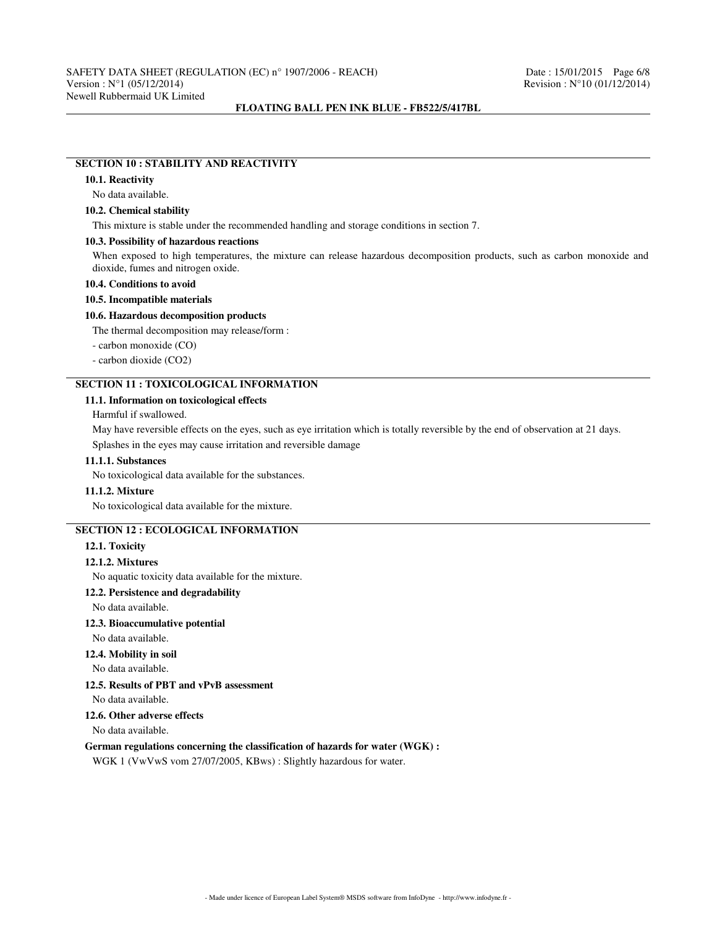## **SECTION 10 : STABILITY AND REACTIVITY**

### **10.1. Reactivity**

No data available.

# **10.2. Chemical stability**

This mixture is stable under the recommended handling and storage conditions in section 7.

#### **10.3. Possibility of hazardous reactions**

When exposed to high temperatures, the mixture can release hazardous decomposition products, such as carbon monoxide and dioxide, fumes and nitrogen oxide.

### **10.4. Conditions to avoid**

#### **10.5. Incompatible materials**

### **10.6. Hazardous decomposition products**

The thermal decomposition may release/form :

- carbon monoxide (CO)

- carbon dioxide (CO2)

# **SECTION 11 : TOXICOLOGICAL INFORMATION**

# **11.1. Information on toxicological effects**

## Harmful if swallowed.

May have reversible effects on the eyes, such as eye irritation which is totally reversible by the end of observation at 21 days. Splashes in the eyes may cause irritation and reversible damage

#### **11.1.1. Substances**

No toxicological data available for the substances.

#### **11.1.2. Mixture**

No toxicological data available for the mixture.

# **SECTION 12 : ECOLOGICAL INFORMATION**

**12.1. Toxicity**

### **12.1.2. Mixtures**

No aquatic toxicity data available for the mixture.

### **12.2. Persistence and degradability**

No data available.

### **12.3. Bioaccumulative potential**

No data available.

**12.4. Mobility in soil**

No data available.

# **12.5. Results of PBT and vPvB assessment**

No data available.

# **12.6. Other adverse effects**

No data available.

### **German regulations concerning the classification of hazards for water (WGK) :**

WGK 1 (VwVwS vom 27/07/2005, KBws) : Slightly hazardous for water.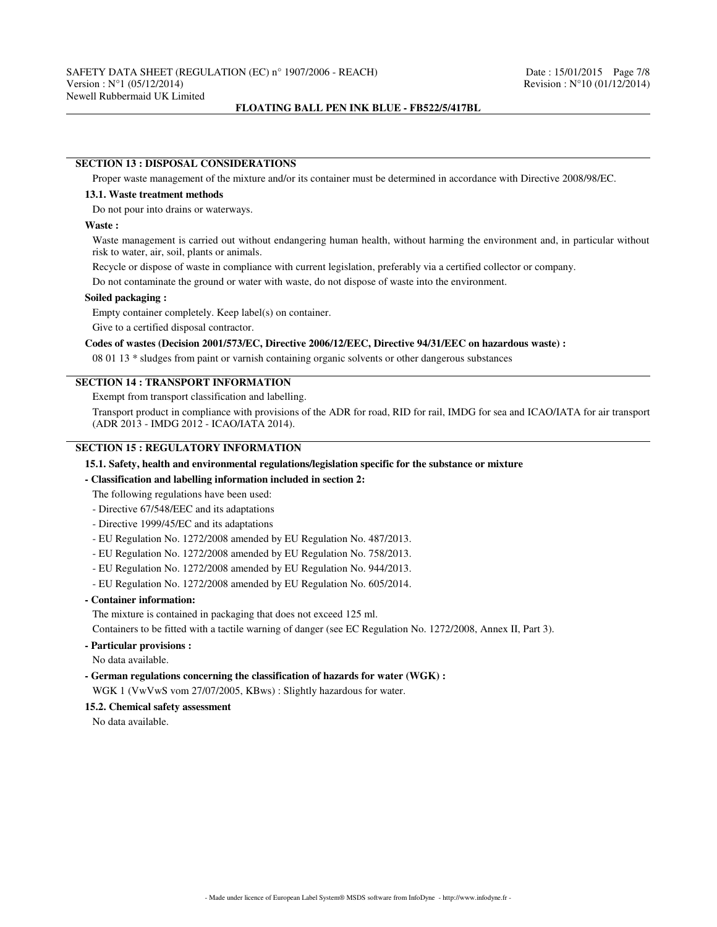### **SECTION 13 : DISPOSAL CONSIDERATIONS**

Proper waste management of the mixture and/or its container must be determined in accordance with Directive 2008/98/EC.

#### **13.1. Waste treatment methods**

Do not pour into drains or waterways.

#### **Waste :**

Waste management is carried out without endangering human health, without harming the environment and, in particular without risk to water, air, soil, plants or animals.

Recycle or dispose of waste in compliance with current legislation, preferably via a certified collector or company.

Do not contaminate the ground or water with waste, do not dispose of waste into the environment.

### **Soiled packaging :**

Empty container completely. Keep label(s) on container.

Give to a certified disposal contractor.

## **Codes of wastes (Decision 2001/573/EC, Directive 2006/12/EEC, Directive 94/31/EEC on hazardous waste) :**

08 01 13 \* sludges from paint or varnish containing organic solvents or other dangerous substances

## **SECTION 14 : TRANSPORT INFORMATION**

Exempt from transport classification and labelling.

Transport product in compliance with provisions of the ADR for road, RID for rail, IMDG for sea and ICAO/IATA for air transport (ADR 2013 - IMDG 2012 - ICAO/IATA 2014).

# **SECTION 15 : REGULATORY INFORMATION**

### **15.1. Safety, health and environmental regulations/legislation specific for the substance or mixture**

#### **- Classification and labelling information included in section 2:**

The following regulations have been used:

- Directive 67/548/EEC and its adaptations
- Directive 1999/45/EC and its adaptations
- EU Regulation No. 1272/2008 amended by EU Regulation No. 487/2013.
- EU Regulation No. 1272/2008 amended by EU Regulation No. 758/2013.
- EU Regulation No. 1272/2008 amended by EU Regulation No. 944/2013.
- EU Regulation No. 1272/2008 amended by EU Regulation No. 605/2014.

## **- Container information:**

The mixture is contained in packaging that does not exceed 125 ml.

Containers to be fitted with a tactile warning of danger (see EC Regulation No. 1272/2008, Annex II, Part 3).

**- Particular provisions :**

No data available.

**- German regulations concerning the classification of hazards for water (WGK) :**

WGK 1 (VwVwS vom 27/07/2005, KBws) : Slightly hazardous for water.

# **15.2. Chemical safety assessment**

No data available.